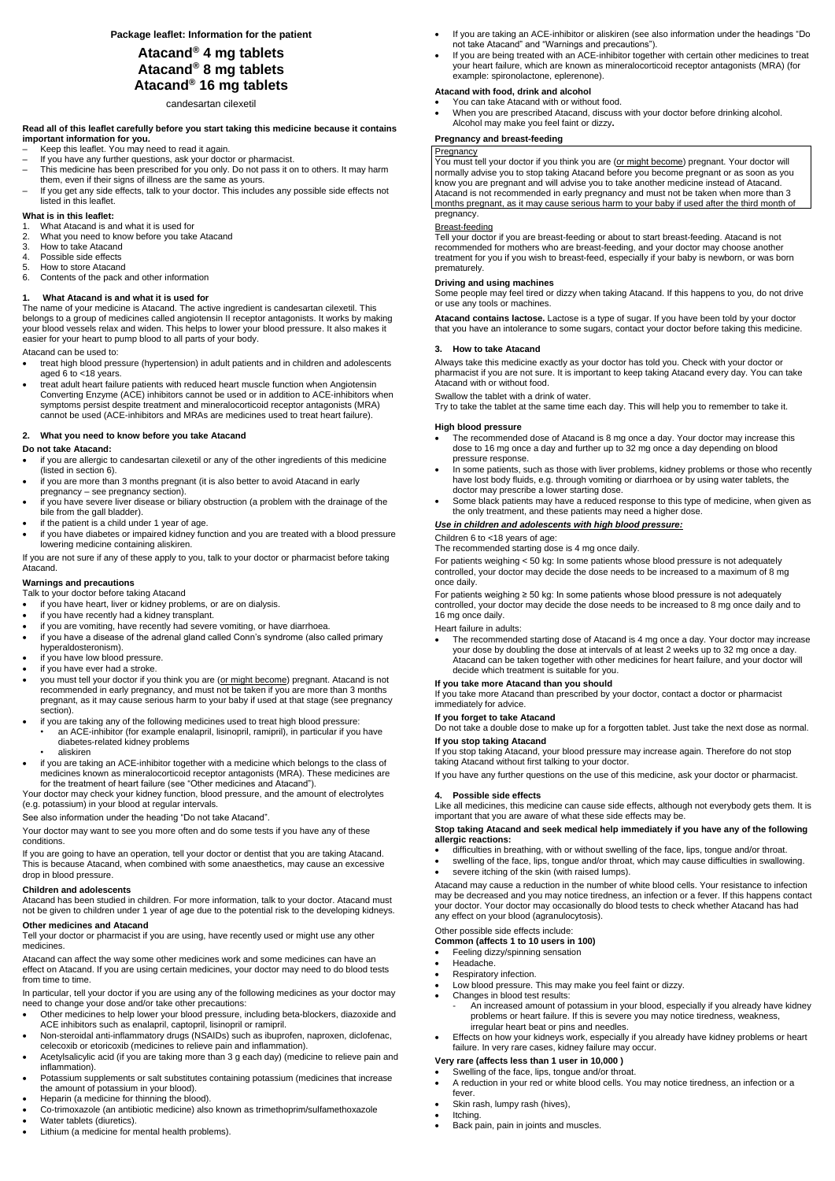**Package leaflet: Information for the patient**

# **Atacand® 4 mg tablets Atacand® 8 mg tablets Atacand® 16 mg tablets**

candesartan cilexetil

#### **Read all of this leaflet carefully before you start taking this medicine because it contains important information for you.**

- Keep this leaflet. You may need to read it again.
- If you have any further questions, ask your doctor or pharmacist.
- This medicine has been prescribed for you only. Do not pass it on to others. It may harm them, even if their signs of illness are the same as yours.
- If you get any side effects, talk to your doctor. This includes any possible side effects not listed in this leaflet.

#### **What is in this leaflet:**

- 1. What Atacand is and what it is used for
- 2. What you need to know before you take Atacand
- 3. How to take Atacand
- 4. Possible side effects
- 5. How to store Atacand
- 6. Contents of the pack and other information

### **1. What Atacand is and what it is used for**

The name of your medicine is Atacand. The active ingredient is candesartan cilexetil. This belongs to a group of medicines called angiotensin II receptor antagonists. It works by making your blood vessels relax and widen. This helps to lower your blood pressure. It also makes it easier for your heart to pump blood to all parts of your body.

#### Atacand can be used to:

- treat high blood pressure (hypertension) in adult patients and in children and adolescents aged 6 to <18 years.
- treat adult heart failure patients with reduced heart muscle function when Angiotensin Converting Enzyme (ACE) inhibitors cannot be used or in addition to ACE-inhibitors when symptoms persist despite treatment and mineralocorticoid receptor antagonists (MRA) cannot be used (ACE-inhibitors and MRAs are medicines used to treat heart failure).

#### **2. What you need to know before you take Atacand**

#### **Do not take Atacand:**

- if you are allergic to candesartan cilexetil or any of the other ingredients of this medicine (listed in section 6).
- if you are more than 3 months pregnant (it is also better to avoid Atacand in early pregnancy – see pregnancy section).
- if you have severe liver disease or biliary obstruction (a problem with the drainage of the bile from the gall bladder).
- if the patient is a child under 1 year of age.
- if you have diabetes or impaired kidney function and you are treated with a blood pressure lowering medicine containing aliskiren.

If you are not sure if any of these apply to you, talk to your doctor or pharmacist before taking Atacand.

#### **Warnings and precautions**

Talk to your doctor before taking Atacand

- if you have heart, liver or kidney problems, or are on dialysis.
- if you have recently had a kidney transplant.
- if you are vomiting, have recently had severe vomiting, or have diarrhoea.
- if you have a disease of the adrenal gland called Conn's syndrome (also called primary hyperaldosteronism).
- if you have low blood pressure.
- if you have ever had a stroke.
- you must tell your doctor if you think you are (or might become) pregnant. Atacand is not recommended in early pregnancy, and must not be taken if you are more than 3 months pregnant, as it may cause serious harm to your baby if used at that stage (see pregnancy section).
- if you are taking any of the following medicines used to treat high blood pressure:
	- an ACE-inhibitor (for example enalapril, lisinopril, ramipril), in particular if you have diabetes-related kidney problems
	- aliskiren
- if you are taking an ACE-inhibitor together with a medicine which belongs to the class of medicines known as mineralocorticoid receptor antagonists (MRA). These medicines are for the treatment of heart failure (see "Other medicines and Atacand").

You must tell your doctor if you think you are (or might become) pregnant. Your doctor will normally advise you to stop taking Atacand before you become pregnant or as soon as you know you are pregnant and will advise you to take another medicine instead of Atacand. Atacand is not recommended in early pregnancy and must not be taken when more than 3 months pregnant, as it may cause serious harm to your baby if used after the third month of pregnancy.

Your doctor may check your kidney function, blood pressure, and the amount of electrolytes (e.g. potassium) in your blood at regular intervals.

See also information under the heading "Do not take Atacand".

Your doctor may want to see you more often and do some tests if you have any of these conditions.

If you are going to have an operation, tell your doctor or dentist that you are taking Atacand. This is because Atacand, when combined with some anaesthetics, may cause an excessive drop in blood pressure.

#### **Children and adolescents**

Atacand has been studied in children. For more information, talk to your doctor. Atacand must not be given to children under 1 year of age due to the potential risk to the developing kidneys.

#### **Other medicines and Atacand**

Tell your doctor or pharmacist if you are using, have recently used or might use any other medicines.

Atacand can affect the way some other medicines work and some medicines can have an effect on Atacand. If you are using certain medicines, your doctor may need to do blood tests from time to time.

In particular, tell your doctor if you are using any of the following medicines as your doctor may need to change your dose and/or take other precautions:

- Other medicines to help lower your blood pressure, including beta-blockers, diazoxide and ACE inhibitors such as enalapril, captopril, lisinopril or ramipril.
- Non-steroidal anti-inflammatory drugs (NSAIDs) such as ibuprofen, naproxen, diclofenac, celecoxib or etoricoxib (medicines to relieve pain and inflammation).
- Acetylsalicylic acid (if you are taking more than 3 g each day) (medicine to relieve pain and inflammation).
- Potassium supplements or salt substitutes containing potassium (medicines that increase the amount of potassium in your blood).
- Heparin (a medicine for thinning the blood).
- Co-trimoxazole (an antibiotic medicine) also known as trimethoprim/sulfamethoxazole
- Water tablets (diuretics).
- Lithium (a medicine for mental health problems).
- If you are taking an ACE-inhibitor or aliskiren (see also information under the headings "Do not take Atacand" and "Warnings and precautions").
- If you are being treated with an ACE-inhibitor together with certain other medicines to treat your heart failure, which are known as mineralocorticoid receptor antagonists (MRA) (for example: spironolactone, eplerenone).

#### **Atacand with food, drink and alcohol**

- You can take Atacand with or without food.
- When you are prescribed Atacand, discuss with your doctor before drinking alcohol. Alcohol may make you feel faint or dizzy**.**

#### **Pregnancy and breast-feeding**

# **Pregnancy**

# Breast-feeding

Tell your doctor if you are breast-feeding or about to start breast-feeding. Atacand is not recommended for mothers who are breast-feeding, and your doctor may choose another treatment for you if you wish to breast-feed, especially if your baby is newborn, or was born prematurely.

#### **Driving and using machines**

Some people may feel tired or dizzy when taking Atacand. If this happens to you, do not drive or use any tools or machines.

**Atacand contains lactose.** Lactose is a type of sugar. If you have been told by your doctor that you have an intolerance to some sugars, contact your doctor before taking this medicine.

#### **3. How to take Atacand**

Always take this medicine exactly as your doctor has told you. Check with your doctor or pharmacist if you are not sure. It is important to keep taking Atacand every day. You can take Atacand with or without food.

Swallow the tablet with a drink of water.

Try to take the tablet at the same time each day. This will help you to remember to take it.

#### **High blood pressure**

- The recommended dose of Atacand is 8 mg once a day. Your doctor may increase this dose to 16 mg once a day and further up to 32 mg once a day depending on blood pressure response.
- In some patients, such as those with liver problems, kidney problems or those who recently have lost body fluids, e.g. through vomiting or diarrhoea or by using water tablets, the doctor may prescribe a lower starting dose.
- Some black patients may have a reduced response to this type of medicine, when given as the only treatment, and these patients may need a higher dose.

#### *Use in children and adolescents with high blood pressure:*

#### Children 6 to <18 years of age:

The recommended starting dose is 4 mg once daily.

For patients weighing < 50 kg: In some patients whose blood pressure is not adequately controlled, your doctor may decide the dose needs to be increased to a maximum of 8 mg once daily.

For patients weighing ≥ 50 kg: In some patients whose blood pressure is not adequately controlled, your doctor may decide the dose needs to be increased to 8 mg once daily and to 16 mg once daily.

#### Heart failure in adults:

 The recommended starting dose of Atacand is 4 mg once a day. Your doctor may increase your dose by doubling the dose at intervals of at least 2 weeks up to 32 mg once a day. Atacand can be taken together with other medicines for heart failure, and your doctor will decide which treatment is suitable for you.

#### **If you take more Atacand than you should**

If you take more Atacand than prescribed by your doctor, contact a doctor or pharmacist immediately for advice.

#### **If you forget to take Atacand**

Do not take a double dose to make up for a forgotten tablet. Just take the next dose as normal.

**If you stop taking Atacand** If you stop taking Atacand, your blood pressure may increase again. Therefore do not stop taking Atacand without first talking to your doctor.

If you have any further questions on the use of this medicine, ask your doctor or pharmacist.

#### **4. Possible side effects**

Like all medicines, this medicine can cause side effects, although not everybody gets them. It is important that you are aware of what these side effects may be.

#### **Stop taking Atacand and seek medical help immediately if you have any of the following allergic reactions:**

- difficulties in breathing, with or without swelling of the face, lips, tongue and/or throat.
- swelling of the face, lips, tongue and/or throat, which may cause difficulties in swallowing. severe itching of the skin (with raised lumps).

Atacand may cause a reduction in the number of white blood cells. Your resistance to infection

may be decreased and you may notice tiredness, an infection or a fever. If this happens contact your doctor. Your doctor may occasionally do blood tests to check whether Atacand has had any effect on your blood (agranulocytosis).

# Other possible side effects include:

#### **Common (affects 1 to 10 users in 100)**

- Feeling dizzy/spinning sensation
- Headache.
- Respiratory infection.
- Low blood pressure. This may make you feel faint or dizzy.
- Changes in blood test results:
	- An increased amount of potassium in your blood, especially if you already have kidney problems or heart failure. If this is severe you may notice tiredness, weakness, irregular heart beat or pins and needles.
- Effects on how your kidneys work, especially if you already have kidney problems or heart failure. In very rare cases, kidney failure may occur.

# **Very rare (affects less than 1 user in 10,000 )**

- Swelling of the face, lips, tongue and/or throat.
- A reduction in your red or white blood cells. You may notice tiredness, an infection or a fever.
- Skin rash, lumpy rash (hives),
- Itching.
- Back pain, pain in joints and muscles.